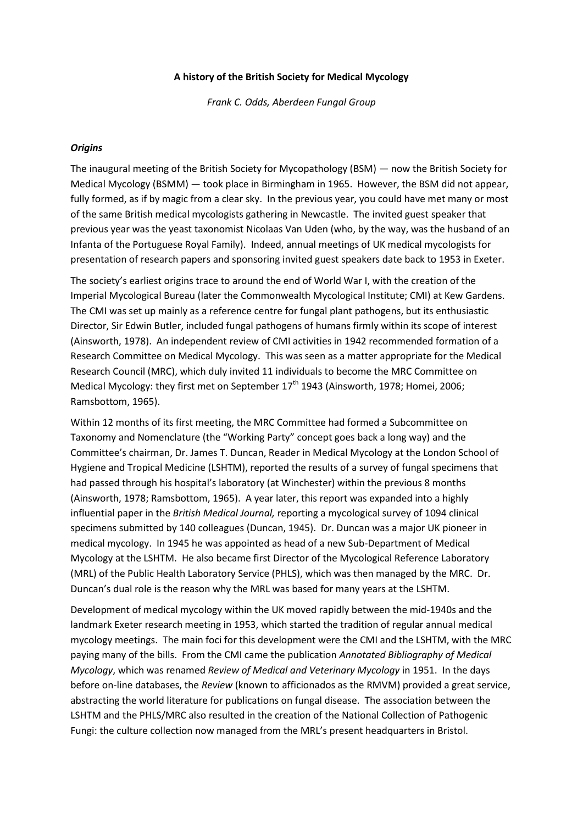#### **A history of the British Society for Medical Mycology**

*Frank C. Odds, Aberdeen Fungal Group*

#### *Origins*

The inaugural meeting of the British Society for Mycopathology (BSM) — now the British Society for Medical Mycology (BSMM) — took place in Birmingham in 1965. However, the BSM did not appear, fully formed, as if by magic from a clear sky. In the previous year, you could have met many or most of the same British medical mycologists gathering in Newcastle. The invited guest speaker that previous year was the yeast taxonomist Nicolaas Van Uden (who, by the way, was the husband of an Infanta of the Portuguese Royal Family). Indeed, annual meetings of UK medical mycologists for presentation of research papers and sponsoring invited guest speakers date back to 1953 in Exeter.

The society's earliest origins trace to around the end of World War I, with the creation of the Imperial Mycological Bureau (later the Commonwealth Mycological Institute; CMI) at Kew Gardens. The CMI was set up mainly as a reference centre for fungal plant pathogens, but its enthusiastic Director, Sir Edwin Butler, included fungal pathogens of humans firmly within its scope of interest (Ainsworth, 1978). An independent review of CMI activities in 1942 recommended formation of a Research Committee on Medical Mycology. This was seen as a matter appropriate for the Medical Research Council (MRC), which duly invited 11 individuals to become the MRC Committee on Medical Mycology: they first met on September  $17<sup>th</sup>$  1943 (Ainsworth, 1978; Homei, 2006; Ramsbottom, 1965).

Within 12 months of its first meeting, the MRC Committee had formed a Subcommittee on Taxonomy and Nomenclature (the "Working Party" concept goes back a long way) and the Committee's chairman, Dr. James T. Duncan, Reader in Medical Mycology at the London School of Hygiene and Tropical Medicine (LSHTM), reported the results of a survey of fungal specimens that had passed through his hospital's laboratory (at Winchester) within the previous 8 months (Ainsworth, 1978; Ramsbottom, 1965). A year later, this report was expanded into a highly influential paper in the *British Medical Journal,* reporting a mycological survey of 1094 clinical specimens submitted by 140 colleagues (Duncan, 1945). Dr. Duncan was a major UK pioneer in medical mycology. In 1945 he was appointed as head of a new Sub-Department of Medical Mycology at the LSHTM. He also became first Director of the Mycological Reference Laboratory (MRL) of the Public Health Laboratory Service (PHLS), which was then managed by the MRC. Dr. Duncan's dual role is the reason why the MRL was based for many years at the LSHTM.

Development of medical mycology within the UK moved rapidly between the mid-1940s and the landmark Exeter research meeting in 1953, which started the tradition of regular annual medical mycology meetings. The main foci for this development were the CMI and the LSHTM, with the MRC paying many of the bills. From the CMI came the publication *Annotated Bibliography of Medical Mycology*, which was renamed *Review of Medical and Veterinary Mycology* in 1951. In the days before on-line databases, the *Review* (known to afficionados as the RMVM) provided a great service, abstracting the world literature for publications on fungal disease. The association between the LSHTM and the PHLS/MRC also resulted in the creation of the National Collection of Pathogenic Fungi: the culture collection now managed from the MRL's present headquarters in Bristol.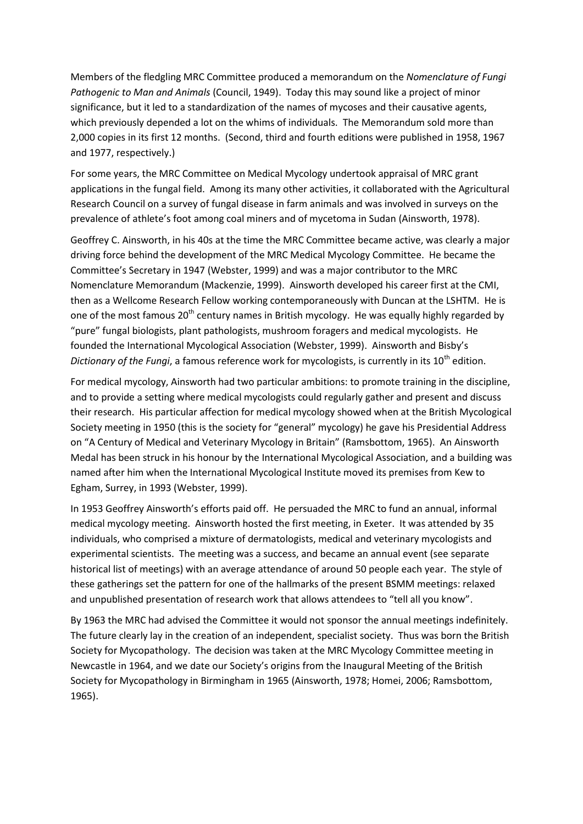Members of the fledgling MRC Committee produced a memorandum on the *Nomenclature of Fungi Pathogenic to Man and Animals* (Council, 1949). Today this may sound like a project of minor significance, but it led to a standardization of the names of mycoses and their causative agents, which previously depended a lot on the whims of individuals. The Memorandum sold more than 2,000 copies in its first 12 months. (Second, third and fourth editions were published in 1958, 1967 and 1977, respectively.)

For some years, the MRC Committee on Medical Mycology undertook appraisal of MRC grant applications in the fungal field. Among its many other activities, it collaborated with the Agricultural Research Council on a survey of fungal disease in farm animals and was involved in surveys on the prevalence of athlete's foot among coal miners and of mycetoma in Sudan (Ainsworth, 1978).

Geoffrey C. Ainsworth, in his 40s at the time the MRC Committee became active, was clearly a major driving force behind the development of the MRC Medical Mycology Committee. He became the Committee's Secretary in 1947 (Webster, 1999) and was a major contributor to the MRC Nomenclature Memorandum (Mackenzie, 1999). Ainsworth developed his career first at the CMI, then as a Wellcome Research Fellow working contemporaneously with Duncan at the LSHTM. He is one of the most famous  $20<sup>th</sup>$  century names in British mycology. He was equally highly regarded by "pure" fungal biologists, plant pathologists, mushroom foragers and medical mycologists. He founded the International Mycological Association (Webster, 1999). Ainsworth and Bisby's *Dictionary of the Fungi*, a famous reference work for mycologists, is currently in its 10<sup>th</sup> edition.

For medical mycology, Ainsworth had two particular ambitions: to promote training in the discipline, and to provide a setting where medical mycologists could regularly gather and present and discuss their research. His particular affection for medical mycology showed when at the British Mycological Society meeting in 1950 (this is the society for "general" mycology) he gave his Presidential Address on "A Century of Medical and Veterinary Mycology in Britain" (Ramsbottom, 1965). An Ainsworth Medal has been struck in his honour by the International Mycological Association, and a building was named after him when the International Mycological Institute moved its premises from Kew to Egham, Surrey, in 1993 (Webster, 1999).

In 1953 Geoffrey Ainsworth's efforts paid off. He persuaded the MRC to fund an annual, informal medical mycology meeting. Ainsworth hosted the first meeting, in Exeter. It was attended by 35 individuals, who comprised a mixture of dermatologists, medical and veterinary mycologists and experimental scientists. The meeting was a success, and became an annual event (see separate historical list of meetings) with an average attendance of around 50 people each year. The style of these gatherings set the pattern for one of the hallmarks of the present BSMM meetings: relaxed and unpublished presentation of research work that allows attendees to "tell all you know".

By 1963 the MRC had advised the Committee it would not sponsor the annual meetings indefinitely. The future clearly lay in the creation of an independent, specialist society. Thus was born the British Society for Mycopathology. The decision was taken at the MRC Mycology Committee meeting in Newcastle in 1964, and we date our Society's origins from the Inaugural Meeting of the British Society for Mycopathology in Birmingham in 1965 (Ainsworth, 1978; Homei, 2006; Ramsbottom, 1965).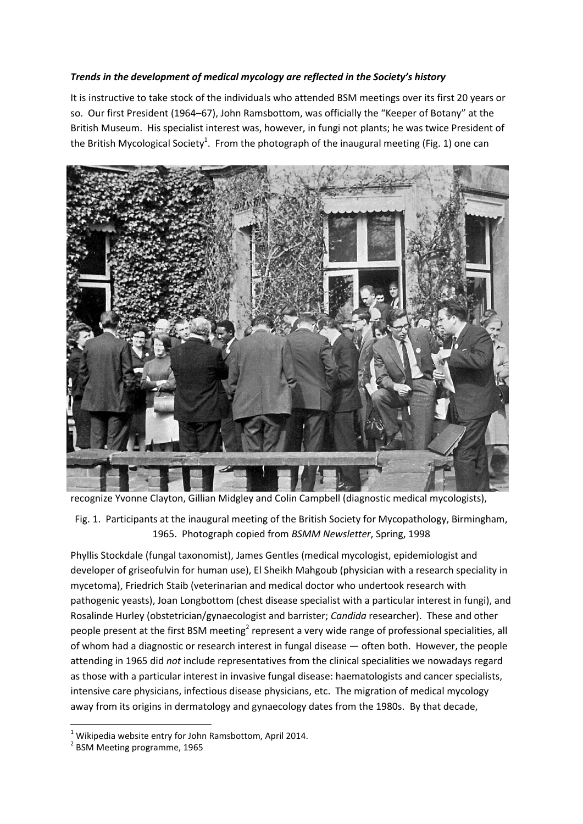## *Trends in the development of medical mycology are reflected in the Society's history*

It is instructive to take stock of the individuals who attended BSM meetings over its first 20 years or so. Our first President (1964–67), John Ramsbottom, was officially the "Keeper of Botany" at the British Museum. His specialist interest was, however, in fungi not plants; he was twice President of the British Mycological Society<sup>1</sup>. From the photograph of the inaugural meeting (Fig. 1) one can



recognize Yvonne Clayton, Gillian Midgley and Colin Campbell (diagnostic medical mycologists),

Fig. 1. Participants at the inaugural meeting of the British Society for Mycopathology, Birmingham, 1965. Photograph copied from *BSMM Newsletter*, Spring, 1998

Phyllis Stockdale (fungal taxonomist), James Gentles (medical mycologist, epidemiologist and developer of griseofulvin for human use), El Sheikh Mahgoub (physician with a research speciality in mycetoma), Friedrich Staib (veterinarian and medical doctor who undertook research with pathogenic yeasts), Joan Longbottom (chest disease specialist with a particular interest in fungi), and Rosalinde Hurley (obstetrician/gynaecologist and barrister; *Candida* researcher). These and other people present at the first BSM meeting<sup>2</sup> represent a very wide range of professional specialities, all of whom had a diagnostic or research interest in fungal disease — often both. However, the people attending in 1965 did *not* include representatives from the clinical specialities we nowadays regard as those with a particular interest in invasive fungal disease: haematologists and cancer specialists, intensive care physicians, infectious disease physicians, etc. The migration of medical mycology away from its origins in dermatology and gynaecology dates from the 1980s. By that decade,

**.** 

 $1$  Wikipedia website entry for John Ramsbottom, April 2014.

<sup>&</sup>lt;sup>2</sup> BSM Meeting programme, 1965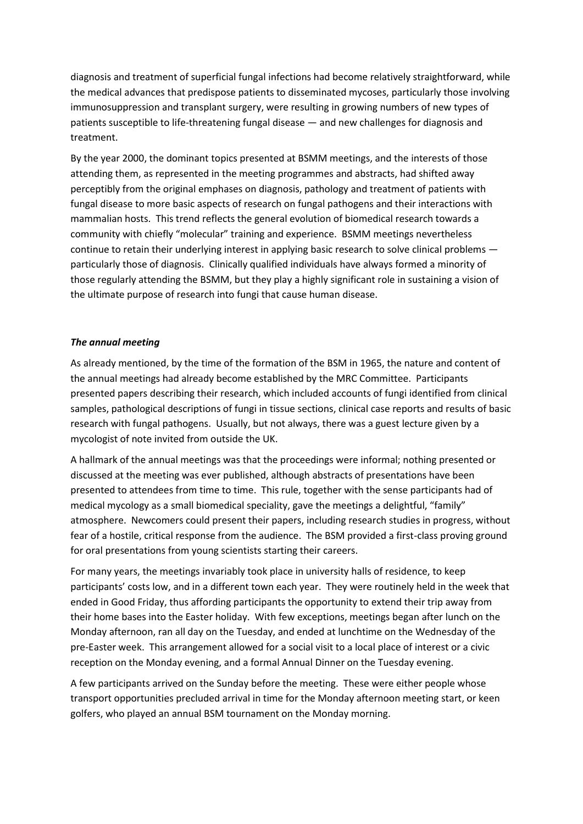diagnosis and treatment of superficial fungal infections had become relatively straightforward, while the medical advances that predispose patients to disseminated mycoses, particularly those involving immunosuppression and transplant surgery, were resulting in growing numbers of new types of patients susceptible to life-threatening fungal disease — and new challenges for diagnosis and treatment.

By the year 2000, the dominant topics presented at BSMM meetings, and the interests of those attending them, as represented in the meeting programmes and abstracts, had shifted away perceptibly from the original emphases on diagnosis, pathology and treatment of patients with fungal disease to more basic aspects of research on fungal pathogens and their interactions with mammalian hosts. This trend reflects the general evolution of biomedical research towards a community with chiefly "molecular" training and experience. BSMM meetings nevertheless continue to retain their underlying interest in applying basic research to solve clinical problems particularly those of diagnosis. Clinically qualified individuals have always formed a minority of those regularly attending the BSMM, but they play a highly significant role in sustaining a vision of the ultimate purpose of research into fungi that cause human disease.

## *The annual meeting*

As already mentioned, by the time of the formation of the BSM in 1965, the nature and content of the annual meetings had already become established by the MRC Committee. Participants presented papers describing their research, which included accounts of fungi identified from clinical samples, pathological descriptions of fungi in tissue sections, clinical case reports and results of basic research with fungal pathogens. Usually, but not always, there was a guest lecture given by a mycologist of note invited from outside the UK.

A hallmark of the annual meetings was that the proceedings were informal; nothing presented or discussed at the meeting was ever published, although abstracts of presentations have been presented to attendees from time to time. This rule, together with the sense participants had of medical mycology as a small biomedical speciality, gave the meetings a delightful, "family" atmosphere. Newcomers could present their papers, including research studies in progress, without fear of a hostile, critical response from the audience. The BSM provided a first-class proving ground for oral presentations from young scientists starting their careers.

For many years, the meetings invariably took place in university halls of residence, to keep participants' costs low, and in a different town each year. They were routinely held in the week that ended in Good Friday, thus affording participants the opportunity to extend their trip away from their home bases into the Easter holiday. With few exceptions, meetings began after lunch on the Monday afternoon, ran all day on the Tuesday, and ended at lunchtime on the Wednesday of the pre-Easter week. This arrangement allowed for a social visit to a local place of interest or a civic reception on the Monday evening, and a formal Annual Dinner on the Tuesday evening.

A few participants arrived on the Sunday before the meeting. These were either people whose transport opportunities precluded arrival in time for the Monday afternoon meeting start, or keen golfers, who played an annual BSM tournament on the Monday morning.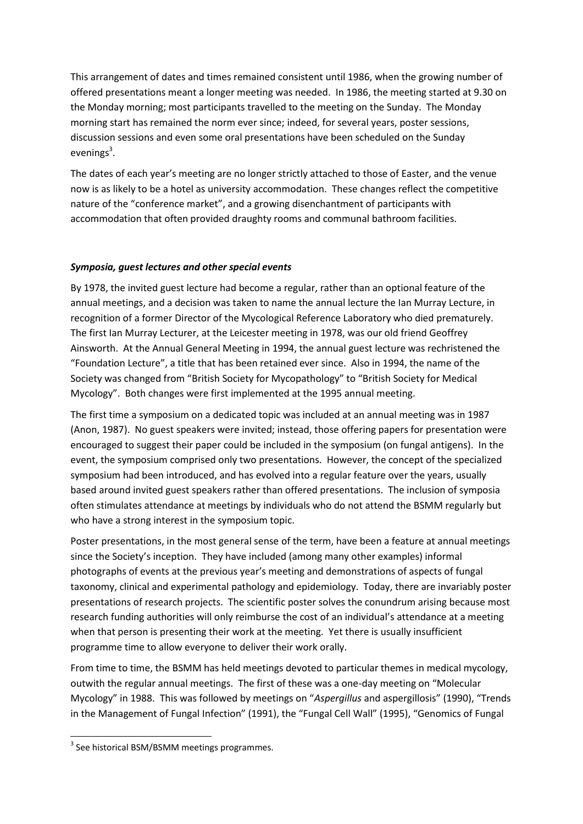This arrangement of dates and times remained consistent until 1986, when the growing number of offered presentations meant a longer meeting was needed. In 1986, the meeting started at 9.30 on the Monday morning; most participants travelled to the meeting on the Sunday. The Monday morning start has remained the norm ever since; indeed, for several years, poster sessions, discussion sessions and even some oral presentations have been scheduled on the Sunday evenings<sup>3</sup>.

The dates of each year's meeting are no longer strictly attached to those of Easter, and the venue now is as likely to be a hotel as university accommodation. These changes reflect the competitive nature of the "conference market", and a growing disenchantment of participants with accommodation that often provided draughty rooms and communal bathroom facilities.

# *Symposia, guest lectures and other special events*

By 1978, the invited guest lecture had become a regular, rather than an optional feature of the annual meetings, and a decision was taken to name the annual lecture the Ian Murray Lecture, in recognition of a former Director of the Mycological Reference Laboratory who died prematurely. The first Ian Murray Lecturer, at the Leicester meeting in 1978, was our old friend Geoffrey Ainsworth. At the Annual General Meeting in 1994, the annual guest lecture was rechristened the "Foundation Lecture", a title that has been retained ever since. Also in 1994, the name of the Society was changed from "British Society for Mycopathology" to "British Society for Medical Mycology". Both changes were first implemented at the 1995 annual meeting.

The first time a symposium on a dedicated topic was included at an annual meeting was in 1987 (Anon, 1987). No guest speakers were invited; instead, those offering papers for presentation were encouraged to suggest their paper could be included in the symposium (on fungal antigens). In the event, the symposium comprised only two presentations. However, the concept of the specialized symposium had been introduced, and has evolved into a regular feature over the years, usually based around invited guest speakers rather than offered presentations. The inclusion of symposia often stimulates attendance at meetings by individuals who do not attend the BSMM regularly but who have a strong interest in the symposium topic.

Poster presentations, in the most general sense of the term, have been a feature at annual meetings since the Society's inception. They have included (among many other examples) informal photographs of events at the previous year's meeting and demonstrations of aspects of fungal taxonomy, clinical and experimental pathology and epidemiology. Today, there are invariably poster presentations of research projects. The scientific poster solves the conundrum arising because most research funding authorities will only reimburse the cost of an individual's attendance at a meeting when that person is presenting their work at the meeting. Yet there is usually insufficient programme time to allow everyone to deliver their work orally.

From time to time, the BSMM has held meetings devoted to particular themes in medical mycology, outwith the regular annual meetings. The first of these was a one-day meeting on "Molecular Mycology" in 1988. This was followed by meetings on "*Aspergillus* and aspergillosis" (1990), "Trends in the Management of Fungal Infection" (1991), the "Fungal Cell Wall" (1995), "Genomics of Fungal

**.** 

<sup>&</sup>lt;sup>3</sup> See historical BSM/BSMM meetings programmes.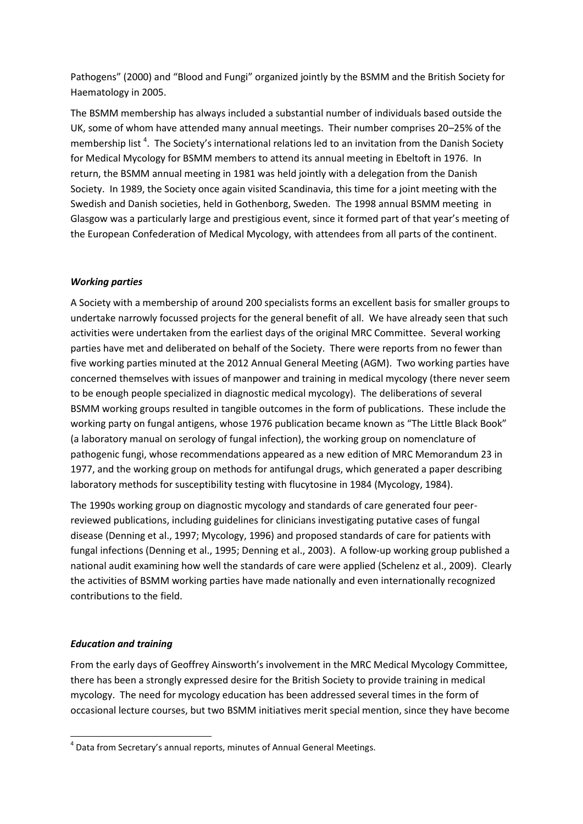Pathogens" (2000) and "Blood and Fungi" organized jointly by the BSMM and the British Society for Haematology in 2005.

The BSMM membership has always included a substantial number of individuals based outside the UK, some of whom have attended many annual meetings. Their number comprises 20–25% of the membership list<sup>4</sup>. The Society's international relations led to an invitation from the Danish Society for Medical Mycology for BSMM members to attend its annual meeting in Ebeltoft in 1976. In return, the BSMM annual meeting in 1981 was held jointly with a delegation from the Danish Society. In 1989, the Society once again visited Scandinavia, this time for a joint meeting with the Swedish and Danish societies, held in Gothenborg, Sweden. The 1998 annual BSMM meeting in Glasgow was a particularly large and prestigious event, since it formed part of that year's meeting of the European Confederation of Medical Mycology, with attendees from all parts of the continent.

# *Working parties*

A Society with a membership of around 200 specialists forms an excellent basis for smaller groups to undertake narrowly focussed projects for the general benefit of all. We have already seen that such activities were undertaken from the earliest days of the original MRC Committee. Several working parties have met and deliberated on behalf of the Society. There were reports from no fewer than five working parties minuted at the 2012 Annual General Meeting (AGM). Two working parties have concerned themselves with issues of manpower and training in medical mycology (there never seem to be enough people specialized in diagnostic medical mycology). The deliberations of several BSMM working groups resulted in tangible outcomes in the form of publications. These include the working party on fungal antigens, whose 1976 publication became known as "The Little Black Book" (a laboratory manual on serology of fungal infection), the working group on nomenclature of pathogenic fungi, whose recommendations appeared as a new edition of MRC Memorandum 23 in 1977, and the working group on methods for antifungal drugs, which generated a paper describing laboratory methods for susceptibility testing with flucytosine in 1984 (Mycology, 1984).

The 1990s working group on diagnostic mycology and standards of care generated four peerreviewed publications, including guidelines for clinicians investigating putative cases of fungal disease (Denning et al., 1997; Mycology, 1996) and proposed standards of care for patients with fungal infections (Denning et al., 1995; Denning et al., 2003). A follow-up working group published a national audit examining how well the standards of care were applied (Schelenz et al., 2009). Clearly the activities of BSMM working parties have made nationally and even internationally recognized contributions to the field.

### *Education and training*

**.** 

From the early days of Geoffrey Ainsworth's involvement in the MRC Medical Mycology Committee, there has been a strongly expressed desire for the British Society to provide training in medical mycology. The need for mycology education has been addressed several times in the form of occasional lecture courses, but two BSMM initiatives merit special mention, since they have become

 $<sup>4</sup>$  Data from Secretary's annual reports, minutes of Annual General Meetings.</sup>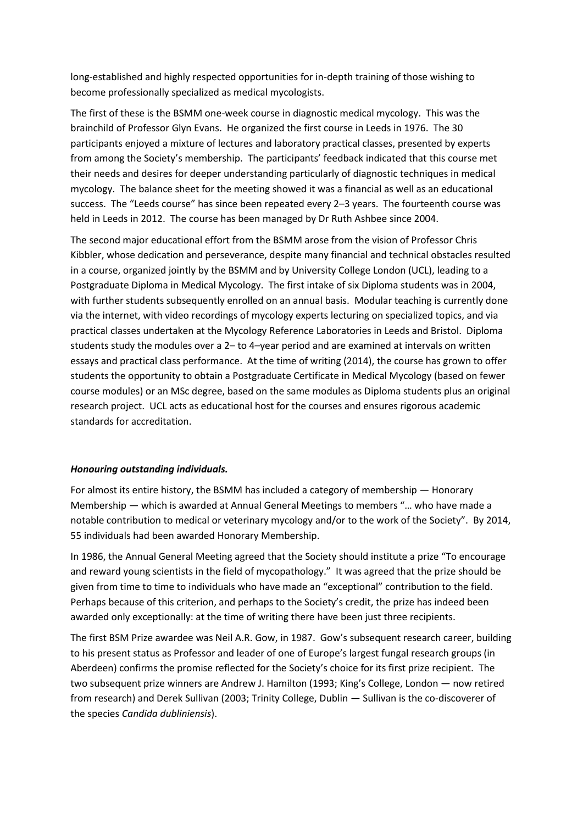long-established and highly respected opportunities for in-depth training of those wishing to become professionally specialized as medical mycologists.

The first of these is the BSMM one-week course in diagnostic medical mycology. This was the brainchild of Professor Glyn Evans. He organized the first course in Leeds in 1976. The 30 participants enjoyed a mixture of lectures and laboratory practical classes, presented by experts from among the Society's membership. The participants' feedback indicated that this course met their needs and desires for deeper understanding particularly of diagnostic techniques in medical mycology. The balance sheet for the meeting showed it was a financial as well as an educational success. The "Leeds course" has since been repeated every 2–3 years. The fourteenth course was held in Leeds in 2012. The course has been managed by Dr Ruth Ashbee since 2004.

The second major educational effort from the BSMM arose from the vision of Professor Chris Kibbler, whose dedication and perseverance, despite many financial and technical obstacles resulted in a course, organized jointly by the BSMM and by University College London (UCL), leading to a Postgraduate Diploma in Medical Mycology. The first intake of six Diploma students was in 2004, with further students subsequently enrolled on an annual basis. Modular teaching is currently done via the internet, with video recordings of mycology experts lecturing on specialized topics, and via practical classes undertaken at the Mycology Reference Laboratories in Leeds and Bristol. Diploma students study the modules over a 2– to 4–year period and are examined at intervals on written essays and practical class performance. At the time of writing (2014), the course has grown to offer students the opportunity to obtain a Postgraduate Certificate in Medical Mycology (based on fewer course modules) or an MSc degree, based on the same modules as Diploma students plus an original research project. UCL acts as educational host for the courses and ensures rigorous academic standards for accreditation.

# *Honouring outstanding individuals.*

For almost its entire history, the BSMM has included a category of membership — Honorary Membership — which is awarded at Annual General Meetings to members "… who have made a notable contribution to medical or veterinary mycology and/or to the work of the Society". By 2014, 55 individuals had been awarded Honorary Membership.

In 1986, the Annual General Meeting agreed that the Society should institute a prize "To encourage and reward young scientists in the field of mycopathology." It was agreed that the prize should be given from time to time to individuals who have made an "exceptional" contribution to the field. Perhaps because of this criterion, and perhaps to the Society's credit, the prize has indeed been awarded only exceptionally: at the time of writing there have been just three recipients.

The first BSM Prize awardee was Neil A.R. Gow, in 1987. Gow's subsequent research career, building to his present status as Professor and leader of one of Europe's largest fungal research groups (in Aberdeen) confirms the promise reflected for the Society's choice for its first prize recipient. The two subsequent prize winners are Andrew J. Hamilton (1993; King's College, London — now retired from research) and Derek Sullivan (2003; Trinity College, Dublin — Sullivan is the co-discoverer of the species *Candida dubliniensis*).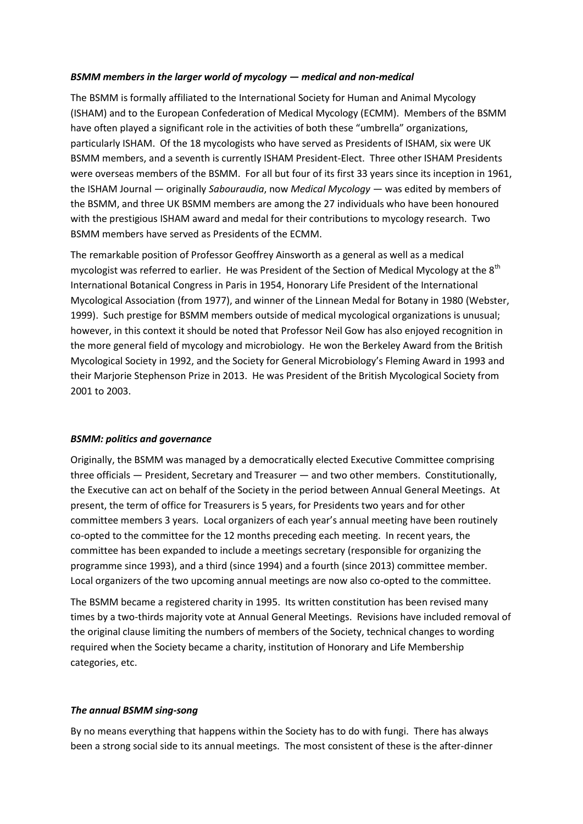## *BSMM members in the larger world of mycology — medical and non-medical*

The BSMM is formally affiliated to the International Society for Human and Animal Mycology (ISHAM) and to the European Confederation of Medical Mycology (ECMM). Members of the BSMM have often played a significant role in the activities of both these "umbrella" organizations, particularly ISHAM. Of the 18 mycologists who have served as Presidents of ISHAM, six were UK BSMM members, and a seventh is currently ISHAM President-Elect. Three other ISHAM Presidents were overseas members of the BSMM. For all but four of its first 33 years since its inception in 1961, the ISHAM Journal — originally *Sabouraudia*, now *Medical Mycology* — was edited by members of the BSMM, and three UK BSMM members are among the 27 individuals who have been honoured with the prestigious ISHAM award and medal for their contributions to mycology research. Two BSMM members have served as Presidents of the ECMM.

The remarkable position of Professor Geoffrey Ainsworth as a general as well as a medical mycologist was referred to earlier. He was President of the Section of Medical Mycology at the 8<sup>th</sup> International Botanical Congress in Paris in 1954, Honorary Life President of the International Mycological Association (from 1977), and winner of the Linnean Medal for Botany in 1980 (Webster, 1999). Such prestige for BSMM members outside of medical mycological organizations is unusual; however, in this context it should be noted that Professor Neil Gow has also enjoyed recognition in the more general field of mycology and microbiology. He won the Berkeley Award from the British Mycological Society in 1992, and the Society for General Microbiology's Fleming Award in 1993 and their Marjorie Stephenson Prize in 2013. He was President of the British Mycological Society from 2001 to 2003.

### *BSMM: politics and governance*

Originally, the BSMM was managed by a democratically elected Executive Committee comprising three officials — President, Secretary and Treasurer — and two other members. Constitutionally, the Executive can act on behalf of the Society in the period between Annual General Meetings. At present, the term of office for Treasurers is 5 years, for Presidents two years and for other committee members 3 years. Local organizers of each year's annual meeting have been routinely co-opted to the committee for the 12 months preceding each meeting. In recent years, the committee has been expanded to include a meetings secretary (responsible for organizing the programme since 1993), and a third (since 1994) and a fourth (since 2013) committee member. Local organizers of the two upcoming annual meetings are now also co-opted to the committee.

The BSMM became a registered charity in 1995. Its written constitution has been revised many times by a two-thirds majority vote at Annual General Meetings. Revisions have included removal of the original clause limiting the numbers of members of the Society, technical changes to wording required when the Society became a charity, institution of Honorary and Life Membership categories, etc.

### *The annual BSMM sing-song*

By no means everything that happens within the Society has to do with fungi. There has always been a strong social side to its annual meetings. The most consistent of these is the after-dinner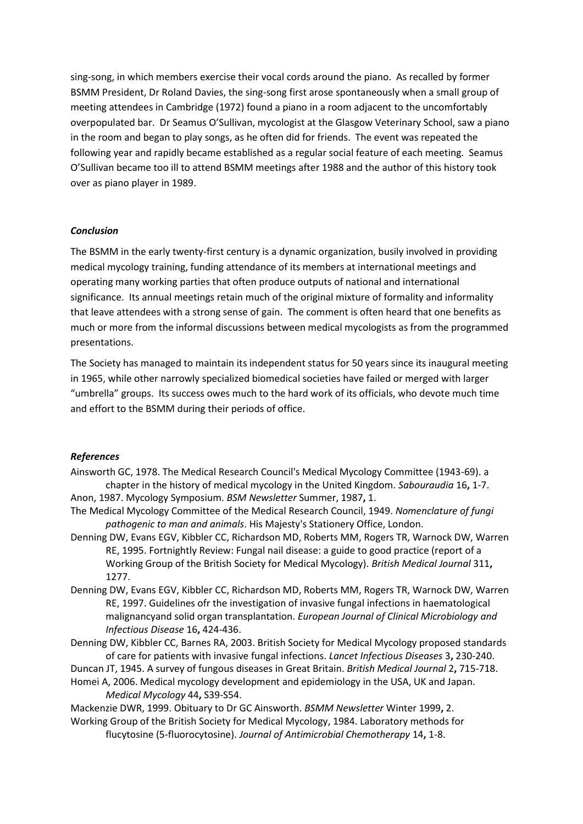sing-song, in which members exercise their vocal cords around the piano. As recalled by former BSMM President, Dr Roland Davies, the sing-song first arose spontaneously when a small group of meeting attendees in Cambridge (1972) found a piano in a room adjacent to the uncomfortably overpopulated bar. Dr Seamus O'Sullivan, mycologist at the Glasgow Veterinary School, saw a piano in the room and began to play songs, as he often did for friends. The event was repeated the following year and rapidly became established as a regular social feature of each meeting. Seamus O'Sullivan became too ill to attend BSMM meetings after 1988 and the author of this history took over as piano player in 1989.

### *Conclusion*

The BSMM in the early twenty-first century is a dynamic organization, busily involved in providing medical mycology training, funding attendance of its members at international meetings and operating many working parties that often produce outputs of national and international significance. Its annual meetings retain much of the original mixture of formality and informality that leave attendees with a strong sense of gain. The comment is often heard that one benefits as much or more from the informal discussions between medical mycologists as from the programmed presentations.

The Society has managed to maintain its independent status for 50 years since its inaugural meeting in 1965, while other narrowly specialized biomedical societies have failed or merged with larger "umbrella" groups. Its success owes much to the hard work of its officials, who devote much time and effort to the BSMM during their periods of office.

#### *References*

- Ainsworth GC, 1978. The Medical Research Council's Medical Mycology Committee (1943-69). a chapter in the history of medical mycology in the United Kingdom. *Sabouraudia* 16**,** 1-7. Anon, 1987. Mycology Symposium. *BSM Newsletter* Summer, 1987**,** 1.
- The Medical Mycology Committee of the Medical Research Council, 1949. *Nomenclature of fungi*
- *pathogenic to man and animals*. His Majesty's Stationery Office, London. Denning DW, Evans EGV, Kibbler CC, Richardson MD, Roberts MM, Rogers TR, Warnock DW, Warren RE, 1995. Fortnightly Review: Fungal nail disease: a guide to good practice (report of a Working Group of the British Society for Medical Mycology). *British Medical Journal* 311**,** 1277.
- Denning DW, Evans EGV, Kibbler CC, Richardson MD, Roberts MM, Rogers TR, Warnock DW, Warren RE, 1997. Guidelines ofr the investigation of invasive fungal infections in haematological malignancyand solid organ transplantation. *European Journal of Clinical Microbiology and Infectious Disease* 16**,** 424-436.
- Denning DW, Kibbler CC, Barnes RA, 2003. British Society for Medical Mycology proposed standards of care for patients with invasive fungal infections. *Lancet Infectious Diseases* 3**,** 230-240.
- Duncan JT, 1945. A survey of fungous diseases in Great Britain. *British Medical Journal* 2**,** 715-718. Homei A, 2006. Medical mycology development and epidemiology in the USA, UK and Japan. *Medical Mycology* 44**,** S39-S54.

Mackenzie DWR, 1999. Obituary to Dr GC Ainsworth. *BSMM Newsletter* Winter 1999**,** 2. Working Group of the British Society for Medical Mycology, 1984. Laboratory methods for flucytosine (5-fluorocytosine). *Journal of Antimicrobial Chemotherapy* 14**,** 1-8.